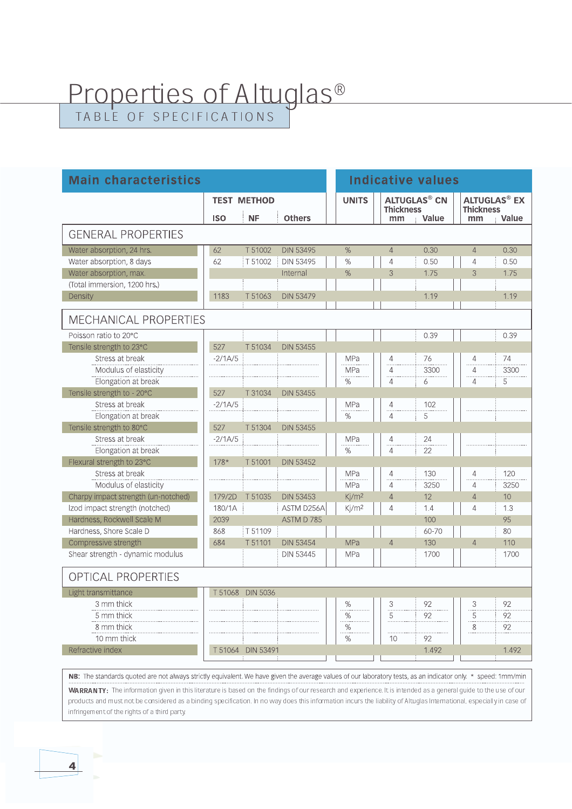## Properties of Altuglas<sup>®</sup>

 $\overline{\mathbf{4}}$ 

| <b>Main characteristics</b>                                           |                    |                   |                                | <b>Indicative values</b>              |                  |                                |                                                    |            |  |  |  |
|-----------------------------------------------------------------------|--------------------|-------------------|--------------------------------|---------------------------------------|------------------|--------------------------------|----------------------------------------------------|------------|--|--|--|
|                                                                       | <b>TEST METHOD</b> |                   |                                | <b>UNITS</b>                          | <b>Thickness</b> | <b>ALTUGLAS<sup>®</sup> CN</b> | <b>ALTUGLAS<sup>®</sup> EX</b><br><b>Thickness</b> |            |  |  |  |
|                                                                       | <b>ISO</b>         | <b>NF</b>         | <b>Others</b>                  |                                       | mm               | Value                          | mm                                                 | Value      |  |  |  |
| <b>GENERAL PROPERTIES</b>                                             |                    |                   |                                |                                       |                  |                                |                                                    |            |  |  |  |
| Water absorption, 24 hrs.                                             | 62                 | T 51002           | <b>DIN 53495</b>               | %                                     | $\overline{4}$   | 0.30                           | $\overline{4}$                                     | 0.30       |  |  |  |
| Water absorption, 8 days                                              | 62                 | T 51002           | <b>DIN 53495</b>               | %                                     | 4                | 0.50                           | $\overline{4}$                                     | 0.50       |  |  |  |
| Water absorption, max.                                                |                    |                   | Internal                       | %                                     | 3                | 1.75                           | 3                                                  | 1.75       |  |  |  |
| (Total immersion, 1200 hrs.)                                          |                    |                   |                                |                                       |                  |                                |                                                    |            |  |  |  |
| Density                                                               | 1183               | T 51063           | <b>DIN 53479</b>               |                                       |                  | 1.19                           |                                                    | 1.19       |  |  |  |
| <b>MECHANICAL PROPERTIES</b>                                          |                    |                   |                                |                                       |                  |                                |                                                    |            |  |  |  |
| Poisson ratio to 20°C                                                 |                    |                   |                                |                                       |                  | 0.39                           |                                                    | 0.39       |  |  |  |
| Tensile strength to 23°C                                              | 527                | T 51034           | <b>DIN 53455</b>               |                                       |                  |                                |                                                    |            |  |  |  |
| Stress at break                                                       | $-2/1A/5$          |                   |                                | MPa                                   | 4                | 76                             | $\overline{4}$                                     | 74         |  |  |  |
| Modulus of elasticity                                                 |                    |                   |                                | MPa                                   | 4                | 3300                           | 4                                                  | 3300       |  |  |  |
| Elongation at break                                                   |                    |                   |                                | $\frac{9}{6}$                         | $\overline{4}$   | 6                              | $\overline{4}$                                     | 5          |  |  |  |
| Tensile strength to - 20°C                                            | 527                | T 31034           | <b>DIN 53455</b>               |                                       |                  |                                |                                                    |            |  |  |  |
| Stress at break                                                       | $-2/1A/5$          |                   |                                | MPa                                   | 4                | 102                            |                                                    |            |  |  |  |
| Elongation at break                                                   |                    |                   |                                | %                                     | 4                | 5                              |                                                    |            |  |  |  |
| Tensile strength to 80°C                                              | 527                | T 51304           | <b>DIN 53455</b>               |                                       |                  |                                |                                                    |            |  |  |  |
| Stress at break                                                       | $-2/1A/5$          |                   |                                | MPa                                   | 4                | 24                             |                                                    |            |  |  |  |
| Elongation at break                                                   |                    |                   |                                | $\%$                                  | 4                | 22                             |                                                    |            |  |  |  |
| Flexural strength to 23°C                                             | $178*$             | T 51001           | <b>DIN 53452</b>               |                                       |                  |                                |                                                    |            |  |  |  |
| Stress at break                                                       |                    |                   |                                | MPa                                   | 4                | 130                            | 4                                                  | 120        |  |  |  |
| Modulus of elasticity                                                 |                    |                   |                                | MPa                                   | $\overline{4}$   | 3250                           | $\overline{4}$                                     | 3250<br>10 |  |  |  |
| Charpy impact strength (un-notched)<br>Izod impact strength (notched) | 179/2D<br>180/1A   | T 51035           | <b>DIN 53453</b><br>ASTM D256A | Kj/m <sup>2</sup><br>K/m <sup>2</sup> | 4<br>4           | 12<br>1.4                      | $\overline{4}$<br>$\overline{4}$                   | 1.3        |  |  |  |
| Hardness, Rockwell Scale M                                            | 2039               |                   | ASTM D 785                     |                                       |                  | 100                            |                                                    | 95         |  |  |  |
| Hardness, Shore Scale D                                               | 868                | T 51109           |                                |                                       |                  | 60-70                          |                                                    | 80         |  |  |  |
| Compressive strength                                                  | 684                | T 51101           | <b>DIN 53454</b>               | <b>MPa</b>                            | $\overline{4}$   | 130                            | $\overline{4}$                                     | 110        |  |  |  |
| Shear strength - dynamic modulus                                      |                    |                   | <b>DIN 53445</b>               | MPa                                   |                  | 1700                           |                                                    | 1700       |  |  |  |
|                                                                       |                    |                   |                                |                                       |                  |                                |                                                    |            |  |  |  |
| <b>OPTICAL PROPERTIES</b>                                             |                    |                   |                                |                                       |                  |                                |                                                    |            |  |  |  |
| Light transmittance                                                   | T 51068            | <b>DIN 5036</b>   |                                |                                       |                  |                                |                                                    |            |  |  |  |
| 3 mm thick                                                            |                    |                   |                                | %                                     | 3                | 92                             | 3                                                  | 92         |  |  |  |
| 5 mm thick                                                            |                    |                   |                                | %                                     | 5                | 92                             | 5<br>.                                             | 92         |  |  |  |
| 8 mm thick                                                            |                    |                   |                                | $\%$                                  |                  |                                | 8                                                  | 92         |  |  |  |
| 10 mm thick                                                           |                    |                   |                                | $\%$                                  | 10               | 92                             |                                                    |            |  |  |  |
| Refractive index                                                      |                    | T 51064 DIN 53491 |                                |                                       |                  | 1.492                          |                                                    | 1.492      |  |  |  |
|                                                                       |                    |                   |                                |                                       |                  |                                |                                                    |            |  |  |  |

NB: The standards quoted are not always strictly equivalent. We have given the average values of our laboratory tests, as an indicator only. \* speed: 1mm/min WARRANTY: The information given in this literature is based on the findings of our research and experience. It is intended as a general quide to the use of our products and must not be considered as a binding specification. In no way does this information incurs the liability of Altuglas International, especially in case of infringement of the rights of a third party.